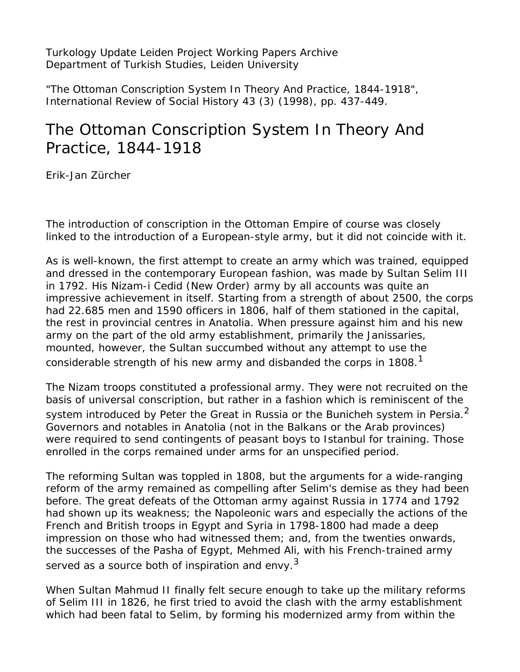Turkology Update Leiden Project Working Papers Archive Department of Turkish Studies, Leiden University

"The Ottoman Conscription System In Theory And Practice, 1844-1918", *International Review of Social History* 43 (3) (1998), pp. 437-449.

## The Ottoman Conscription System In Theory And Practice, 1844-1918

Erik-Jan Zürcher

The introduction of conscription in the Ottoman Empire of course was closely linked to the introduction of a European-style army, but it did not coincide with it.

As is well-known, the first attempt to create an army which was trained, equipped and dressed in the contemporary European fashion, was made by Sultan Selim III in 1792. His *Nizam-i Cedid* (New Order) army by all accounts was quite an impressive achievement in itself. Starting from a strength of about 2500, the corps had 22.685 men and 1590 officers in 1806, half of them stationed in the capital, the rest in provincial centres in Anatolia. When pressure against him and his new army on the part of the old army establishment, primarily the Janissaries, mounted, however, the Sultan succumbed without any attempt to use the considerable strength of his new army and disbanded the corps in 1808.<sup>1</sup>

The *Nizam* troops constituted a professional army. They were not recruited on the basis of universal conscription, but rather in a fashion which is reminiscent of the system introduced by Peter the Great in Russia or the *Bunicheh* system in Persia.<sup>2</sup> Governors and notables in Anatolia (not in the Balkans or the Arab provinces) were required to send contingents of peasant boys to Istanbul for training. Those enrolled in the corps remained under arms for an unspecified period.

The reforming Sultan was toppled in 1808, but the arguments for a wide-ranging reform of the army remained as compelling after Selim's demise as they had been before. The great defeats of the Ottoman army against Russia in 1774 and 1792 had shown up its weakness; the Napoleonic wars and especially the actions of the French and British troops in Egypt and Syria in 1798-1800 had made a deep impression on those who had witnessed them; and, from the twenties onwards, the successes of the Pasha of Egypt, Mehmed Ali, with his French-trained army served as a source both of inspiration and envy.<sup>3</sup>

When Sultan Mahmud II finally felt secure enough to take up the military reforms of Selim III in 1826, he first tried to avoid the clash with the army establishment which had been fatal to Selim, by forming his modernized army from within the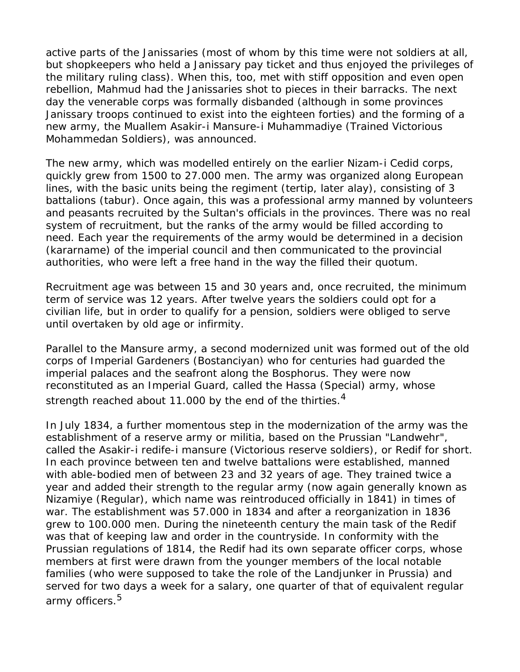active parts of the Janissaries (most of whom by this time were not soldiers at all, but shopkeepers who held a Janissary pay ticket and thus enjoyed the privileges of the military ruling class). When this, too, met with stiff opposition and even open rebellion, Mahmud had the Janissaries shot to pieces in their barracks. The next day the venerable corps was formally disbanded (although in some provinces Janissary troops continued to exist into the eighteen forties) and the forming of a new army, the *Muallem Asakir-i Mansure-i Muhammadiye* (Trained Victorious Mohammedan Soldiers), was announced.

The new army, which was modelled entirely on the earlier *Nizam-i Cedid* corps, quickly grew from 1500 to 27.000 men. The army was organized along European lines, with the basic units being the regiment (*tertip*, later *alay*), consisting of 3 battalions (*tabur*). Once again, this was a professional army manned by volunteers and peasants recruited by the Sultan's officials in the provinces. There was no real system of recruitment, but the ranks of the army would be filled according to need. Each year the requirements of the army would be determined in a decision (*kararname*) of the imperial council and then communicated to the provincial authorities, who were left a free hand in the way the filled their quotum.

Recruitment age was between 15 and 30 years and, once recruited, the minimum term of service was 12 years. After twelve years the soldiers could opt for a civilian life, but in order to qualify for a pension, soldiers were obliged to serve until overtaken by old age or infirmity.

Parallel to the *Mansure* army, a second modernized unit was formed out of the old corps of Imperial Gardeners (*Bostanciyan*) who for centuries had guarded the imperial palaces and the seafront along the Bosphorus. They were now reconstituted as an Imperial Guard, called the *Hassa* (Special) army, whose strength reached about 11.000 by the end of the thirties. $4$ 

In July 1834, a further momentous step in the modernization of the army was the establishment of a reserve army or militia, based on the Prussian "Landwehr", called the *Asakir-i redife-i mansure* (Victorious reserve soldiers), or *Redif* for short. In each province between ten and twelve battalions were established, manned with able-bodied men of between 23 and 32 years of age. They trained twice a year and added their strength to the regular army (now again generally known as *Nizamiye* (Regular), which name was reintroduced officially in 1841) in times of war. The establishment was 57.000 in 1834 and after a reorganization in 1836 grew to 100.000 men. During the nineteenth century the main task of the *Redif* was that of keeping law and order in the countryside. In conformity with the Prussian regulations of 1814, the *Redif* had its own separate officer corps, whose members at first were drawn from the younger members of the local notable families (who were supposed to take the role of the *Landjunker* in Prussia) and served for two days a week for a salary, one quarter of that of equivalent regular army officers.<sup>5</sup>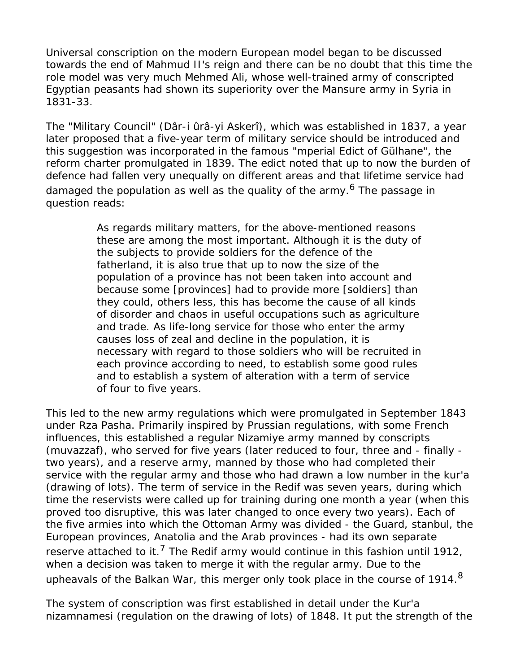Universal conscription on the modern European model began to be discussed towards the end of Mahmud II's reign and there can be no doubt that this time the role model was very much Mehmed Ali, whose well-trained army of conscripted Egyptian peasants had shown its superiority over the *Mansure* army in Syria in 1831-33.

The "Military Council" (*Dâr-i ûrâ-yi Askerî*), which was established in 1837, a year later proposed that a five-year term of military service should be introduced and this suggestion was incorporated in the famous "mperial Edict of Gülhane", the reform charter promulgated in 1839. The edict noted that up to now the burden of defence had fallen very unequally on different areas and that lifetime service had damaged the population as well as the quality of the army.<sup>6</sup> The passage in question reads:

> As regards military matters, for the above-mentioned reasons these are among the most important. Although it is the duty of the subjects to provide soldiers for the defence of the fatherland, it is also true that up to now the size of the population of a province has not been taken into account and because some [provinces] had to provide more [soldiers] than they could, others less, this has become the cause of all kinds of disorder and chaos in useful occupations such as agriculture and trade. As life-long service for those who enter the army causes loss of zeal and decline in the population, it is necessary with regard to those soldiers who will be recruited in each province according to need, to establish some good rules and to establish a system of alteration with a term of service of four to five years.

This led to the new army regulations which were promulgated in September 1843 under Rza Pasha. Primarily inspired by Prussian regulations, with some French influences, this established a regular *Nizamiye* army manned by conscripts (*muvazzaf*), who served for five years (later reduced to four, three and - finally two years), and a reserve army, manned by those who had completed their service with the regular army and those who had drawn a low number in the *kur'a* (drawing of lots). The term of service in the *Redif* was seven years, during which time the reservists were called up for training during one month a year (when this proved too disruptive, this was later changed to once every two years). Each of the five armies into which the Ottoman Army was divided - the Guard, stanbul, the European provinces, Anatolia and the Arab provinces - had its own separate reserve attached to it.<sup>7</sup> The *Redif* army would continue in this fashion until 1912, when a decision was taken to merge it with the regular army. Due to the upheavals of the Balkan War, this merger only took place in the course of 1914.<sup>8</sup>

The system of conscription was first established in detail under the *Kur'a nizamnamesi* (regulation on the drawing of lots) of 1848. It put the strength of the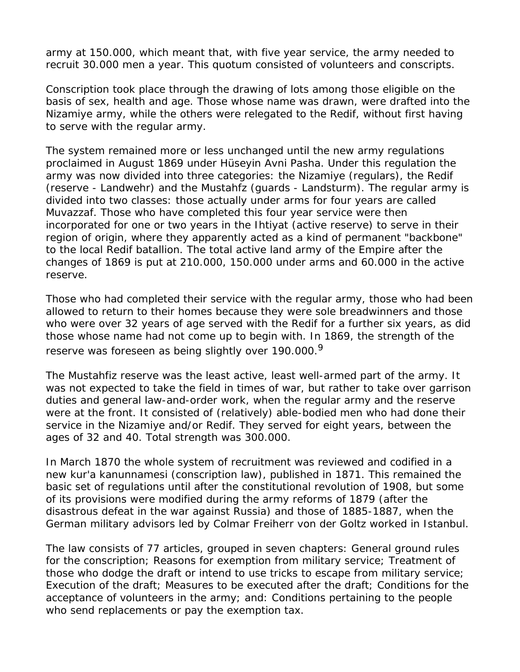army at 150.000, which meant that, with five year service, the army needed to recruit 30.000 men a year. This quotum consisted of volunteers and conscripts.

Conscription took place through the drawing of lots among those eligible on the basis of sex, health and age. Those whose name was drawn, were drafted into the *Nizamiye* army, while the others were relegated to the *Redif*, without first having to serve with the regular army.

The system remained more or less unchanged until the new army regulations proclaimed in August 1869 under Hüseyin Avni Pasha. Under this regulation the army was now divided into three categories: the *Nizamiye* (regulars), the *Redif* (reserve - *Landwehr*) and the *Mustahfz* (guards - *Landsturm*). The regular army is divided into two classes: those actually under arms for four years are called *Muvazzaf*. Those who have completed this four year service were then incorporated for one or two years in the *Ihtiyat* (active reserve) to serve in their region of origin, where they apparently acted as a kind of permanent "backbone" to the local *Redif* batallion. The total active land army of the Empire after the changes of 1869 is put at 210.000, 150.000 under arms and 60.000 in the active reserve.

Those who had completed their service with the regular army, those who had been allowed to return to their homes because they were sole breadwinners and those who were over 32 years of age served with the *Redif* for a further six years, as did those whose name had not come up to begin with. In 1869, the strength of the reserve was foreseen as being slightly over 190.000.<sup>9</sup>

The *Mustahfiz* reserve was the least active, least well-armed part of the army. It was not expected to take the field in times of war, but rather to take over garrison duties and general law-and-order work, when the regular army and the reserve were at the front. It consisted of (relatively) able-bodied men who had done their service in the *Nizamiye* and/or *Redif*. They served for eight years, between the ages of 32 and 40. Total strength was 300.000.

In March 1870 the whole system of recruitment was reviewed and codified in a new *kur'a kanunnamesi* (conscription law), published in 1871. This remained the basic set of regulations until after the constitutional revolution of 1908, but some of its provisions were modified during the army reforms of 1879 (after the disastrous defeat in the war against Russia) and those of 1885-1887, when the German military advisors led by Colmar Freiherr von der Goltz worked in Istanbul.

The law consists of 77 articles, grouped in seven chapters: General ground rules for the conscription; Reasons for exemption from military service; Treatment of those who dodge the draft or intend to use tricks to escape from military service; Execution of the draft; Measures to be executed after the draft; Conditions for the acceptance of volunteers in the army; and: Conditions pertaining to the people who send replacements or pay the exemption tax.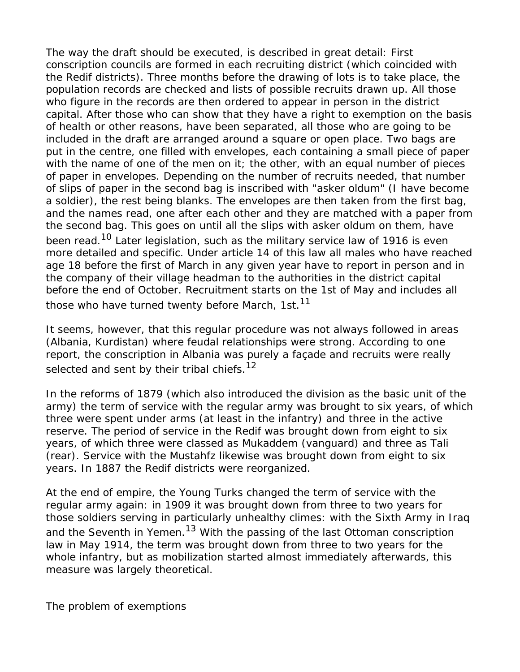The way the draft should be executed, is described in great detail: First conscription councils are formed in each recruiting district (which coincided with the *Redif* districts). Three months before the drawing of lots is to take place, the population records are checked and lists of possible recruits drawn up. All those who figure in the records are then ordered to appear in person in the district capital. After those who can show that they have a right to exemption on the basis of health or other reasons, have been separated, all those who are going to be included in the draft are arranged around a square or open place. Two bags are put in the centre, one filled with envelopes, each containing a small piece of paper with the name of one of the men on it; the other, with an equal number of pieces of paper in envelopes. Depending on the number of recruits needed, that number of slips of paper in the second bag is inscribed with "*asker oldum*" (I have become a soldier), the rest being blanks. The envelopes are then taken from the first bag, and the names read, one after each other and they are matched with a paper from the second bag. This goes on until all the slips with *asker oldum* on them, have been read.<sup>10</sup> Later legislation, such as the military service law of 1916 is even more detailed and specific. Under article 14 of this law all males who have reached age 18 before the first of March in any given year have to report in person and in the company of their village headman to the authorities in the district capital before the end of October. Recruitment starts on the 1st of May and includes all those who have turned twenty before March, 1st.<sup>11</sup>

It seems, however, that this regular procedure was not always followed in areas (Albania, Kurdistan) where feudal relationships were strong. According to one report, the conscription in Albania was purely a façade and recruits were really selected and sent by their tribal chiefs.<sup>12</sup>

In the reforms of 1879 (which also introduced the division as the basic unit of the army) the term of service with the regular army was brought to six years, of which three were spent under arms (at least in the infantry) and three in the active reserve. The period of service in the *Redif* was brought down from eight to six years, of which three were classed as *Mukaddem* (vanguard) and three as *Tali* (rear). Service with the *Mustahfz* likewise was brought down from eight to six years. In 1887 the *Redif* districts were reorganized.

At the end of empire, the Young Turks changed the term of service with the regular army again: in 1909 it was brought down from three to two years for those soldiers serving in particularly unhealthy climes: with the Sixth Army in Iraq and the Seventh in Yemen.<sup>13</sup> With the passing of the last Ottoman conscription law in May 1914, the term was brought down from three to two years for the whole infantry, but as mobilization started almost immediately afterwards, this measure was largely theoretical.

*The problem of exemptions*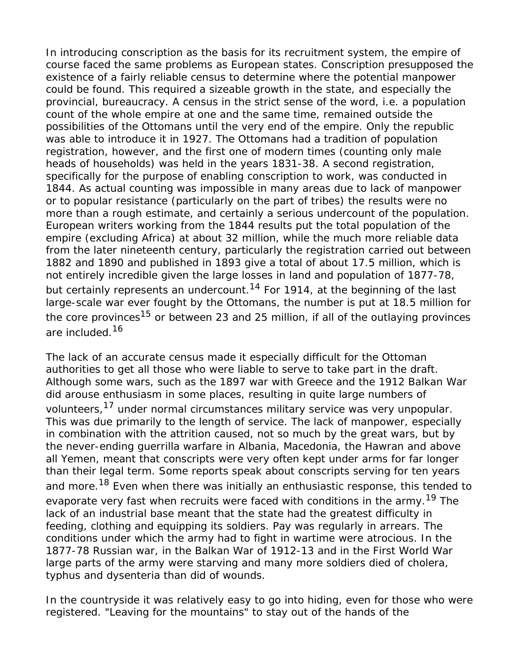In introducing conscription as the basis for its recruitment system, the empire of course faced the same problems as European states. Conscription presupposed the existence of a fairly reliable census to determine where the potential manpower could be found. This required a sizeable growth in the state, and especially the provincial, bureaucracy. A census in the strict sense of the word, i.e. a population count of the whole empire at one and the same time, remained outside the possibilities of the Ottomans until the very end of the empire. Only the republic was able to introduce it in 1927. The Ottomans had a tradition of population registration, however, and the first one of modern times (counting only male heads of households) was held in the years 1831-38. A second registration, specifically for the purpose of enabling conscription to work, was conducted in 1844. As actual counting was impossible in many areas due to lack of manpower or to popular resistance (particularly on the part of tribes) the results were no more than a rough estimate, and certainly a serious undercount of the population. European writers working from the 1844 results put the total population of the empire (excluding Africa) at about 32 million, while the much more reliable data from the later nineteenth century, particularly the registration carried out between 1882 and 1890 and published in 1893 give a total of about 17.5 million, which is not entirely incredible given the large losses in land and population of 1877-78, but certainly represents an undercount.<sup>14</sup> For 1914, at the beginning of the last large-scale war ever fought by the Ottomans, the number is put at 18.5 million for the core provinces<sup>15</sup> or between 23 and 25 million, if all of the outlaying provinces are included.<sup>16</sup>

The lack of an accurate census made it especially difficult for the Ottoman authorities to get all those who were liable to serve to take part in the draft. Although some wars, such as the 1897 war with Greece and the 1912 Balkan War did arouse enthusiasm in some places, resulting in quite large numbers of volunteers,<sup>17</sup> under normal circumstances military service was very unpopular. This was due primarily to the length of service. The lack of manpower, especially in combination with the attrition caused, not so much by the great wars, but by the never-ending guerrilla warfare in Albania, Macedonia, the Hawran and above all Yemen, meant that conscripts were very often kept under arms for far longer than their legal term. Some reports speak about conscripts serving for ten years and more.<sup>18</sup> Even when there was initially an enthusiastic response, this tended to evaporate very fast when recruits were faced with conditions in the army.<sup>19</sup> The lack of an industrial base meant that the state had the greatest difficulty in feeding, clothing and equipping its soldiers. Pay was regularly in arrears. The conditions under which the army had to fight in wartime were atrocious. In the 1877-78 Russian war, in the Balkan War of 1912-13 and in the First World War large parts of the army were starving and many more soldiers died of cholera, typhus and dysenteria than did of wounds.

In the countryside it was relatively easy to go into hiding, even for those who were registered. "Leaving for the mountains" to stay out of the hands of the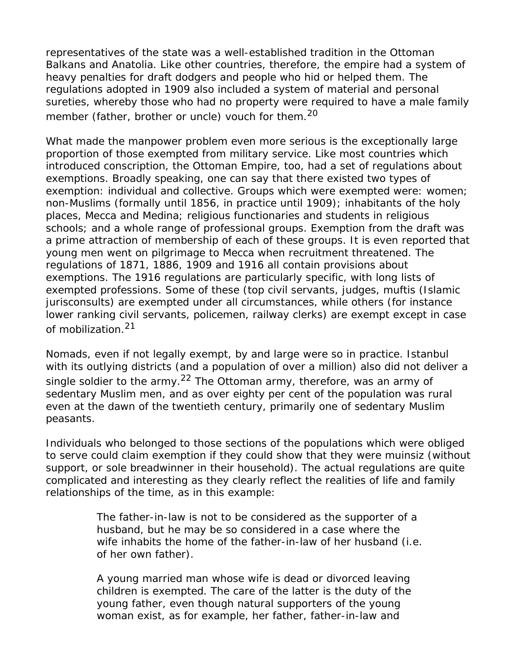representatives of the state was a well-established tradition in the Ottoman Balkans and Anatolia. Like other countries, therefore, the empire had a system of heavy penalties for draft dodgers and people who hid or helped them. The regulations adopted in 1909 also included a system of material and personal sureties, whereby those who had no property were required to have a male family member (father, brother or uncle) vouch for them.<sup>20</sup>

What made the manpower problem even more serious is the exceptionally large proportion of those exempted from military service. Like most countries which introduced conscription, the Ottoman Empire, too, had a set of regulations about exemptions. Broadly speaking, one can say that there existed two types of exemption: individual and collective. Groups which were exempted were: women; non-Muslims (formally until 1856, in practice until 1909); inhabitants of the holy places, Mecca and Medina; religious functionaries and students in religious schools; and a whole range of professional groups. Exemption from the draft was a prime attraction of membership of each of these groups. It is even reported that young men went on pilgrimage to Mecca when recruitment threatened. The regulations of 1871, 1886, 1909 and 1916 all contain provisions about exemptions. The 1916 regulations are particularly specific, with long lists of exempted professions. Some of these (top civil servants, judges, *muftis* (Islamic jurisconsults) are exempted under all circumstances, while others (for instance lower ranking civil servants, policemen, railway clerks) are exempt except in case of mobilization.<sup>21</sup>

Nomads, even if not legally exempt, by and large were so in practice. Istanbul with its outlying districts (and a population of over a million) also did not deliver a single soldier to the army.<sup>22</sup> The Ottoman army, therefore, was an army of sedentary Muslim men, and as over eighty per cent of the population was rural even at the dawn of the twentieth century, primarily one of sedentary Muslim peasants.

Individuals who belonged to those sections of the populations which were obliged to serve could claim exemption if they could show that they were *muinsiz* (without support, or sole breadwinner in their household). The actual regulations are quite complicated and interesting as they clearly reflect the realities of life and family relationships of the time, as in this example:

> The father-in-law is not to be considered as the supporter of a husband, but he may be so considered in a case where the wife inhabits the home of the father-in-law of her husband (i.e. of her own father).

A young married man whose wife is dead or divorced leaving children is exempted. The care of the latter is the duty of the young father, even though natural supporters of the young woman exist, as for example, her father, father-in-law and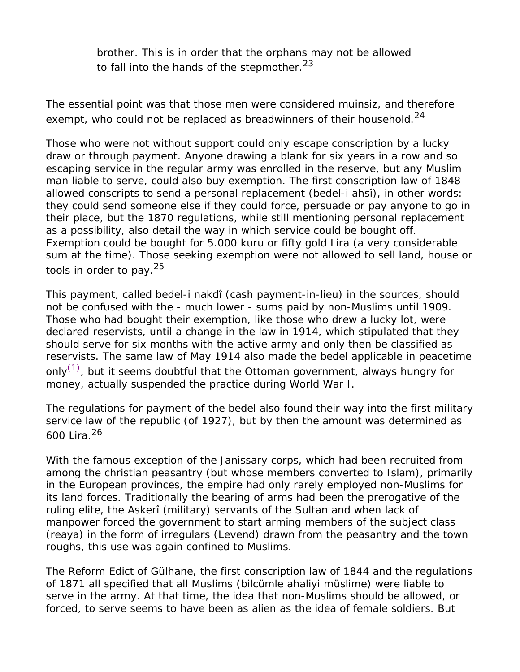brother. This is in order that the orphans may not be allowed to fall into the hands of the stepmother.<sup>23</sup>

The essential point was that those men were considered *muinsiz*, and therefore exempt, who could not be replaced as breadwinners of their household.<sup>24</sup>

Those who were not without support could only escape conscription by a lucky draw or through payment. Anyone drawing a blank for six years in a row and so escaping service in the regular army was enrolled in the reserve, but any Muslim man liable to serve, could also buy exemption. The first conscription law of 1848 allowed conscripts to send a personal replacement (b*edel-i ahsî*), in other words: they could send someone else if they could force, persuade or pay anyone to go in their place, but the 1870 regulations, while still mentioning personal replacement as a possibility, also detail the way in which service could be bought off. Exemption could be bought for 5.000 kuru or fifty gold Lira (a very considerable sum at the time). Those seeking exemption were not allowed to sell land, house or tools in order to pay.25

This payment, called *bedel-i nakdî* (cash payment-in-lieu) in the sources, should not be confused with the - much lower - sums paid by non-Muslims until 1909. Those who had bought their exemption, like those who drew a lucky lot, were declared reservists, until a change in the law in 1914, which stipulated that they should serve for six months with the active army and only then be classified as reservists. The same law of May 1914 also made the *bedel* applicable in peacetime only $(1)$ , but it seems doubtful that the Ottoman government, always hungry for money, actually suspended the practice during World War I.

The regulations for payment of the *bedel* also found their way into the first military service law of the republic (of 1927), but by then the amount was determined as 600 Lira.26

With the famous exception of the Janissary corps, which had been recruited from among the christian peasantry (but whose members converted to Islam), primarily in the European provinces, the empire had only rarely employed non-Muslims for its land forces. Traditionally the bearing of arms had been the prerogative of the ruling elite, the *Askerî* (military) servants of the Sultan and when lack of manpower forced the government to start arming members of the subject class (*reaya*) in the form of irregulars (*Levend*) drawn from the peasantry and the town roughs, this use was again confined to Muslims.

The Reform Edict of Gülhane, the first conscription law of 1844 and the regulations of 1871 all specified that all Muslims (*bilcümle ahaliyi müslime*) were liable to serve in the army. At that time, the idea that non-Muslims should be allowed, or forced, to serve seems to have been as alien as the idea of female soldiers. But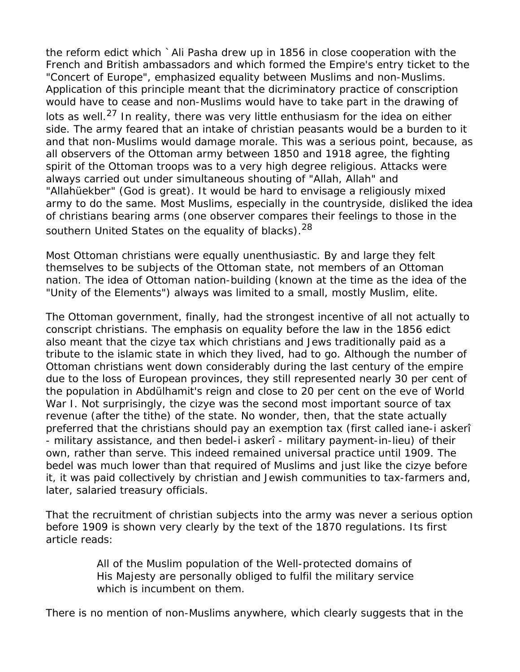the reform edict which `Ali Pasha drew up in 1856 in close cooperation with the French and British ambassadors and which formed the Empire's entry ticket to the "Concert of Europe", emphasized equality between Muslims and non-Muslims. Application of this principle meant that the dicriminatory practice of conscription would have to cease and non-Muslims would have to take part in the drawing of lots as well.<sup>27</sup> In reality, there was very little enthusiasm for the idea on either side. The army feared that an intake of christian peasants would be a burden to it and that non-Muslims would damage morale. This was a serious point, because, as all observers of the Ottoman army between 1850 and 1918 agree, the fighting spirit of the Ottoman troops was to a very high degree religious. Attacks were always carried out under simultaneous shouting of "Allah, Allah" and "Allahüekber" (God is great). It would be hard to envisage a religiously mixed army to do the same. Most Muslims, especially in the countryside, disliked the idea of christians bearing arms (one observer compares their feelings to those in the southern United States on the equality of blacks).<sup>28</sup>

Most Ottoman christians were equally unenthusiastic. By and large they felt themselves to be subjects of the Ottoman state, not members of an Ottoman nation. The idea of Ottoman nation-building (known at the time as the idea of the "Unity of the Elements") always was limited to a small, mostly Muslim, elite.

The Ottoman government, finally, had the strongest incentive of all not actually to conscript christians. The emphasis on equality before the law in the 1856 edict also meant that the *cizye* tax which christians and Jews traditionally paid as a tribute to the islamic state in which they lived, had to go. Although the number of Ottoman christians went down considerably during the last century of the empire due to the loss of European provinces, they still represented nearly 30 per cent of the population in Abdülhamit's reign and close to 20 per cent on the eve of World War I. Not surprisingly, the *cizye* was the second most important source of tax revenue (after the tithe) of the state. No wonder, then, that the state actually preferred that the christians should pay an exemption tax (first called *iane-i askerî* - military assistance, and then *bedel-i askerî* - military payment-in-lieu) of their own, rather than serve. This indeed remained universal practice until 1909. The *bedel* was much lower than that required of Muslims and just like the *cizye* before it, it was paid collectively by christian and Jewish communities to tax-farmers and, later, salaried treasury officials.

That the recruitment of christian subjects into the army was never a serious option before 1909 is shown very clearly by the text of the 1870 regulations. Its first article reads:

> All of the Muslim population of the Well-protected domains of His Majesty are personally obliged to fulfil the military service which is incumbent on them.

There is no mention of non-Muslims anywhere, which clearly suggests that in the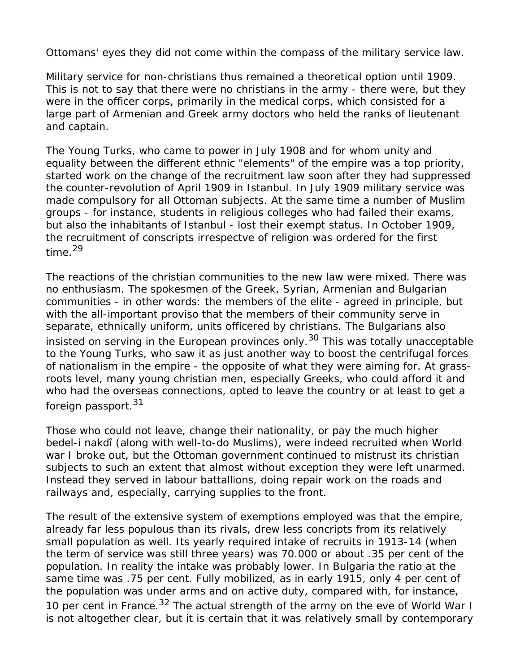Ottomans' eyes they did not come within the compass of the military service law.

Military service for non-christians thus remained a theoretical option until 1909. This is not to say that there were no christians in the army - there were, but they were in the officer corps, primarily in the medical corps, which consisted for a large part of Armenian and Greek army doctors who held the ranks of lieutenant and captain.

The Young Turks, who came to power in July 1908 and for whom unity and equality between the different ethnic "elements" of the empire was a top priority, started work on the change of the recruitment law soon after they had suppressed the counter-revolution of April 1909 in Istanbul. In July 1909 military service was made compulsory for all Ottoman subjects. At the same time a number of Muslim groups - for instance, students in religious colleges who had failed their exams, but also the inhabitants of Istanbul - lost their exempt status. In October 1909, the recruitment of conscripts irrespectve of religion was ordered for the first time.<sup>29</sup>

The reactions of the christian communities to the new law were mixed. There was no enthusiasm. The spokesmen of the Greek, Syrian, Armenian and Bulgarian communities - in other words: the members of the elite - agreed in principle, but with the all-important proviso that the members of their community serve in separate, ethnically uniform, units officered by christians. The Bulgarians also insisted on serving in the European provinces only.<sup>30</sup> This was totally unacceptable to the Young Turks, who saw it as just another way to boost the centrifugal forces of nationalism in the empire - the opposite of what they were aiming for. At grassroots level, many young christian men, especially Greeks, who could afford it and who had the overseas connections, opted to leave the country or at least to get a foreign passport.<sup>31</sup>

Those who could not leave, change their nationality, or pay the much higher *bedel-i nakdî* (along with well-to-do Muslims), were indeed recruited when World war I broke out, but the Ottoman government continued to mistrust its christian subjects to such an extent that almost without exception they were left unarmed. Instead they served in labour battallions, doing repair work on the roads and railways and, especially, carrying supplies to the front.

The result of the extensive system of exemptions employed was that the empire, already far less populous than its rivals, drew less concripts from its relatively small population as well. Its yearly required intake of recruits in 1913-14 (when the term of service was still three years) was 70.000 or about .35 per cent of the population. In reality the intake was probably lower. In Bulgaria the ratio at the same time was .75 per cent. Fully mobilized, as in early 1915, only 4 per cent of the population was under arms and on active duty, compared with, for instance, 10 per cent in France.<sup>32</sup> The actual strength of the army on the eve of World War I is not altogether clear, but it is certain that it was relatively small by contemporary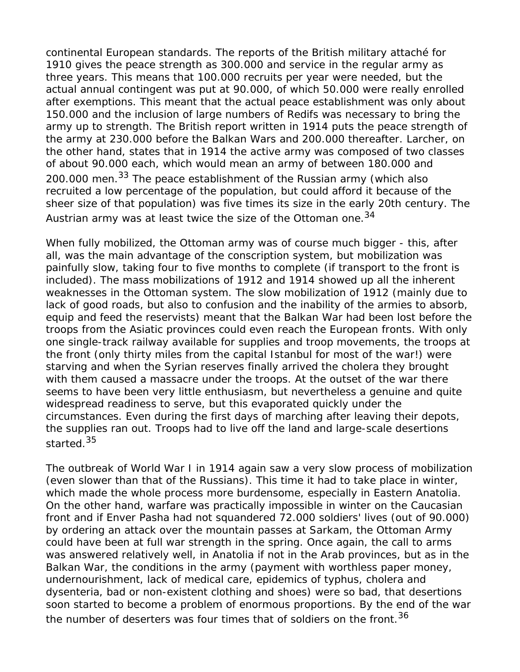continental European standards. The reports of the British military attaché for 1910 gives the peace strength as 300.000 and service in the regular army as three years. This means that 100.000 recruits per year were needed, but the actual annual contingent was put at 90.000, of which 50.000 were really enrolled after exemptions. This meant that the actual peace establishment was only about 150.000 and the inclusion of large numbers of *Redif*s was necessary to bring the army up to strength. The British report written in 1914 puts the peace strength of the army at 230.000 before the Balkan Wars and 200.000 thereafter. Larcher, on the other hand, states that in 1914 the active army was composed of two classes of about 90.000 each, which would mean an army of between 180.000 and 200.000 men.<sup>33</sup> The peace establishment of the Russian army (which also recruited a low percentage of the population, but could afford it because of the sheer size of that population) was five times its size in the early 20th century. The Austrian army was at least twice the size of the Ottoman one.<sup>34</sup>

When fully mobilized, the Ottoman army was of course much bigger - this, after all, was the main advantage of the conscription system, but mobilization was painfully slow, taking four to five months to complete (if transport to the front is included). The mass mobilizations of 1912 and 1914 showed up all the inherent weaknesses in the Ottoman system. The slow mobilization of 1912 (mainly due to lack of good roads, but also to confusion and the inability of the armies to absorb, equip and feed the reservists) meant that the Balkan War had been lost before the troops from the Asiatic provinces could even reach the European fronts. With only one single-track railway available for supplies and troop movements, the troops at the front (only thirty miles from the capital Istanbul for most of the war!) were starving and when the Syrian reserves finally arrived the cholera they brought with them caused a massacre under the troops. At the outset of the war there seems to have been very little enthusiasm, but nevertheless a genuine and quite widespread readiness to serve, but this evaporated quickly under the circumstances. Even during the first days of marching after leaving their depots, the supplies ran out. Troops had to live off the land and large-scale desertions started.<sup>35</sup>

The outbreak of World War I in 1914 again saw a very slow process of mobilization (even slower than that of the Russians). This time it had to take place in winter, which made the whole process more burdensome, especially in Eastern Anatolia. On the other hand, warfare was practically impossible in winter on the Caucasian front and if Enver Pasha had not squandered 72.000 soldiers' lives (out of 90.000) by ordering an attack over the mountain passes at Sarkam, the Ottoman Army could have been at full war strength in the spring. Once again, the call to arms was answered relatively well, in Anatolia if not in the Arab provinces, but as in the Balkan War, the conditions in the army (payment with worthless paper money, undernourishment, lack of medical care, epidemics of typhus, cholera and dysenteria, bad or non-existent clothing and shoes) were so bad, that desertions soon started to become a problem of enormous proportions. By the end of the war the number of deserters was four times that of soldiers on the front.<sup>36</sup>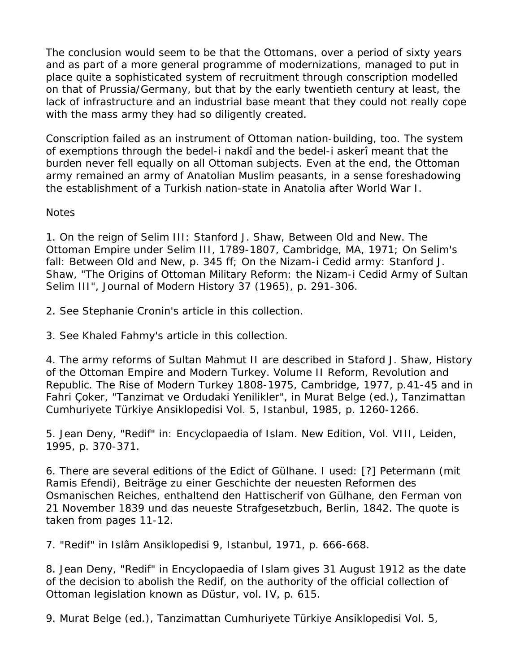The conclusion would seem to be that the Ottomans, over a period of sixty years and as part of a more general programme of modernizations, managed to put in place quite a sophisticated system of recruitment through conscription modelled on that of Prussia/Germany, but that by the early twentieth century at least, the lack of infrastructure and an industrial base meant that they could not really cope with the mass army they had so diligently created.

Conscription failed as an instrument of Ottoman nation-building, too. The system of exemptions through the *bedel-i nakdî* and the *bedel-i askerî* meant that the burden never fell equally on all Ottoman subjects. Even at the end, the Ottoman army remained an army of Anatolian Muslim peasants, in a sense foreshadowing the establishment of a Turkish nation-state in Anatolia after World War I.

## *Notes*

1. On the reign of Selim III: Stanford J. Shaw, *Between Old and New. The Ottoman Empire under Selim III, 1789-1807*, Cambridge, MA, 1971; On Selim's fall: *Between Old and New*, p. 345 ff; On the *Nizam-i Cedid* army: Stanford J. Shaw, "The Origins of Ottoman Military Reform: the Nizam-i Cedid Army of Sultan Selim III", *Journal of Modern History* 37 (1965), p. 291-306.

2. See Stephanie Cronin's article in this collection.

3. See Khaled Fahmy's article in this collection.

4. The army reforms of Sultan Mahmut II are described in Staford J. Shaw, *History of the Ottoman Empire and Modern Turkey. Volume II Reform, Revolution and Republic. The Rise of Modern Turkey 1808-1975*, Cambridge, 1977, p.41-45 and in Fahri Çoker, "Tanzimat ve Ordudaki Yenilikler", in Murat Belge (ed.), *Tanzimattan Cumhuriyete Türkiye Ansiklopedisi Vol. 5*, Istanbul, 1985, p. 1260-1266.

5. Jean Deny, "Redif" in: *Encyclopaedia of Islam. New Edition*, Vol. VIII, Leiden, 1995, p. 370-371.

6. There are several editions of the Edict of Gülhane. I used: [?] Petermann (mit Ramis Efendi), *Beiträge zu einer Geschichte der neuesten Reformen des Osmanischen Reiches, enthaltend den Hattischerif von Gülhane, den Ferman von 21 November 1839 und das neueste Strafgesetzbuch*, Berlin, 1842. The quote is taken from pages 11-12.

7. "Redif" in *Islâm Ansiklopedisi 9*, Istanbul, 1971, p. 666-668.

8. Jean Deny, "Redif" in *Encyclopaedia of Islam* gives 31 August 1912 as the date of the decision to abolish the Redif, on the authority of the official collection of Ottoman legislation known as *Düstur*, vol. IV, p. 615.

9. Murat Belge (ed.), *Tanzimattan Cumhuriyete Türkiye Ansiklopedisi Vol. 5*,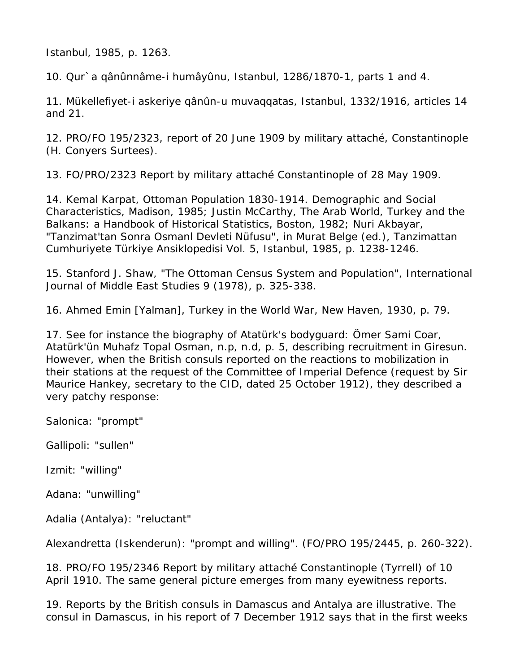Istanbul, 1985, p. 1263.

10. *Qur`a qânûnnâme-i humâyûnu*, Istanbul, 1286/1870-1, parts 1 and 4.

11. *Mükellefiyet-i askeriye qânûn-u muvaqqatas*, Istanbul, 1332/1916, articles 14 and 21.

12. PRO/FO 195/2323, report of 20 June 1909 by military attaché, Constantinople (H. Conyers Surtees).

13. FO/PRO/2323 Report by military attaché Constantinople of 28 May 1909.

14. Kemal Karpat, *Ottoman Population 1830-1914. Demographic and Social Characteristics*, Madison, 1985; Justin McCarthy, *The Arab World, Turkey and the Balkans: a Handbook of Historical Statistics*, Boston, 1982; Nuri Akbayar, "Tanzimat'tan Sonra Osmanl Devleti Nüfusu", in Murat Belge (ed.), *Tanzimattan Cumhuriyete Türkiye Ansiklopedisi Vol. 5*, Istanbul, 1985, p. 1238-1246.

15. Stanford J. Shaw, "The Ottoman Census System and Population", *International Journal of Middle East Studies* 9 (1978), p. 325-338.

16. Ahmed Emin [Yalman], *Turkey in the World War*, New Haven, 1930, p. 79.

17. See for instance the biography of Atatürk's bodyguard: Ömer Sami Coar, *Atatürk'ün Muhafz Topal Osman*, n.p, n.d, p. 5, describing recruitment in Giresun. However, when the British consuls reported on the reactions to mobilization in their stations at the request of the Committee of Imperial Defence (request by Sir Maurice Hankey, secretary to the CID, dated 25 October 1912), they described a very patchy response:

Salonica: "prompt"

Gallipoli: "sullen"

Izmit: "willing"

Adana: "unwilling"

Adalia (Antalya): "reluctant"

Alexandretta (Iskenderun): "prompt and willing". (FO/PRO 195/2445, p. 260-322).

18. PRO/FO 195/2346 Report by military attaché Constantinople (Tyrrell) of 10 April 1910. The same general picture emerges from many eyewitness reports.

19. Reports by the British consuls in Damascus and Antalya are illustrative. The consul in Damascus, in his report of 7 December 1912 says that in the first weeks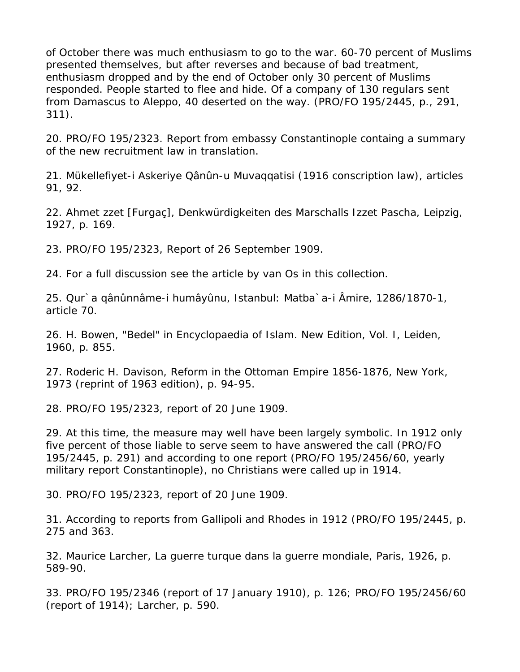of October there was much enthusiasm to go to the war. 60-70 percent of Muslims presented themselves, but after reverses and because of bad treatment, enthusiasm dropped and by the end of October only 30 percent of Muslims responded. People started to flee and hide. Of a company of 130 regulars sent from Damascus to Aleppo, 40 deserted on the way. (PRO/FO 195/2445, p., 291, 311).

20. PRO/FO 195/2323. Report from embassy Constantinople containg a summary of the new recruitment law in translation.

21. *Mükellefiyet-i Askeriye Qânûn-u Muvaqqatisi* (1916 conscription law), articles 91, 92.

22. Ahmet zzet [Furgaç], *Denkwürdigkeiten des Marschalls Izzet Pascha*, Leipzig, 1927, p. 169.

23. PRO/FO 195/2323, Report of 26 September 1909.

24. For a full discussion see the article by van Os in this collection.

25. *Qur`a qânûnnâme-i humâyûnu*, Istanbul: Matba`a-i Âmire, 1286/1870-1, article 70.

26. H. Bowen, "Bedel" in *Encyclopaedia of Islam. New Edition*, Vol. I, Leiden, 1960, p. 855.

27. Roderic H. Davison, *Reform in the Ottoman Empire 1856-1876*, New York, 1973 (reprint of 1963 edition), p. 94-95.

28. PRO/FO 195/2323, report of 20 June 1909.

29. At this time, the measure may well have been largely symbolic. In 1912 only five percent of those liable to serve seem to have answered the call (PRO/FO 195/2445, p. 291) and according to one report (PRO/FO 195/2456/60, yearly military report Constantinople), no Christians were called up in 1914.

30. PRO/FO 195/2323, report of 20 June 1909.

31. According to reports from Gallipoli and Rhodes in 1912 (PRO/FO 195/2445, p. 275 and 363.

32. Maurice Larcher, *La guerre turque dans la guerre mondiale*, Paris, 1926, p. 589-90.

33. PRO/FO 195/2346 (report of 17 January 1910), p. 126; PRO/FO 195/2456/60 (report of 1914); Larcher, p. 590.